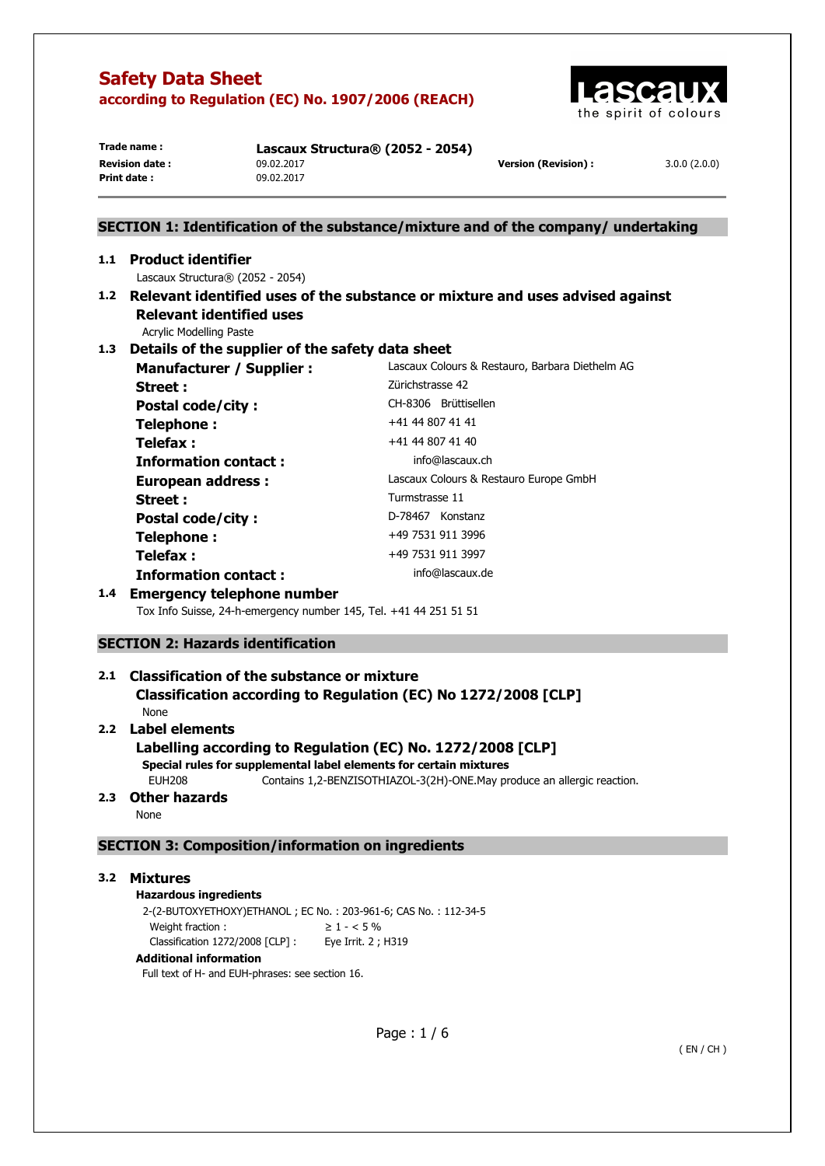

**Print date :** 09.02.2017

**Trade name : Lascaux Structura® (2052 - 2054) Revision date :** 09.02.2017 **Version (Revision) :** 3.0.0 (2.0.0)

## **SECTION 1: Identification of the substance/mixture and of the company/ undertaking 1.1 Product identifier**  Lascaux Structura® (2052 - 2054) **1.2 Relevant identified uses of the substance or mixture and uses advised against Relevant identified uses**  Acrylic Modelling Paste **1.3 Details of the supplier of the safety data sheet Manufacturer / Supplier :** Lascaux Colours & Restauro, Barbara Diethelm AG **Street : Zürichstrasse 42** Postal code/city : CH-8306 Brüttisellen **Telephone :**  $+41 44 807 41 41$ **Telefax :**  $+41 44 807 41 40$ **Information contact : info@lascaux.ch European address :** Lascaux Colours & Restauro Europe GmbH Street : Turmstrasse 11 Postal code/city : D-78467 Konstanz **Telephone :**  $+49\,7531\,911\,3996$

## **1.4 Emergency telephone number**

Tox Info Suisse, 24-h-emergency number 145, Tel. +41 44 251 51 51

**Telefax :** +49 7531 911 3997 **Information contact : info@lascaux.de** 

### **SECTION 2: Hazards identification**

# **2.1 Classification of the substance or mixture Classification according to Regulation (EC) No 1272/2008 [CLP]**

None

# **2.2 Label elements**

### **Labelling according to Regulation (EC) No. 1272/2008 [CLP]**

**Special rules for supplemental label elements for certain mixtures** 

EUH208 Contains 1,2-BENZISOTHIAZOL-3(2H)-ONE.May produce an allergic reaction.

## **2.3 Other hazards**

None

### **SECTION 3: Composition/information on ingredients**

### **3.2 Mixtures**

**Hazardous ingredients** 2-(2-BUTOXYETHOXY)ETHANOL ; EC No. : 203-961-6; CAS No. : 112-34-5 Weight fraction :  $\geq 1 - 5\%$ Classification 1272/2008 [CLP] : Eye Irrit. 2 ; H319

### **Additional information**

Full text of H- and EUH-phrases: see section 16.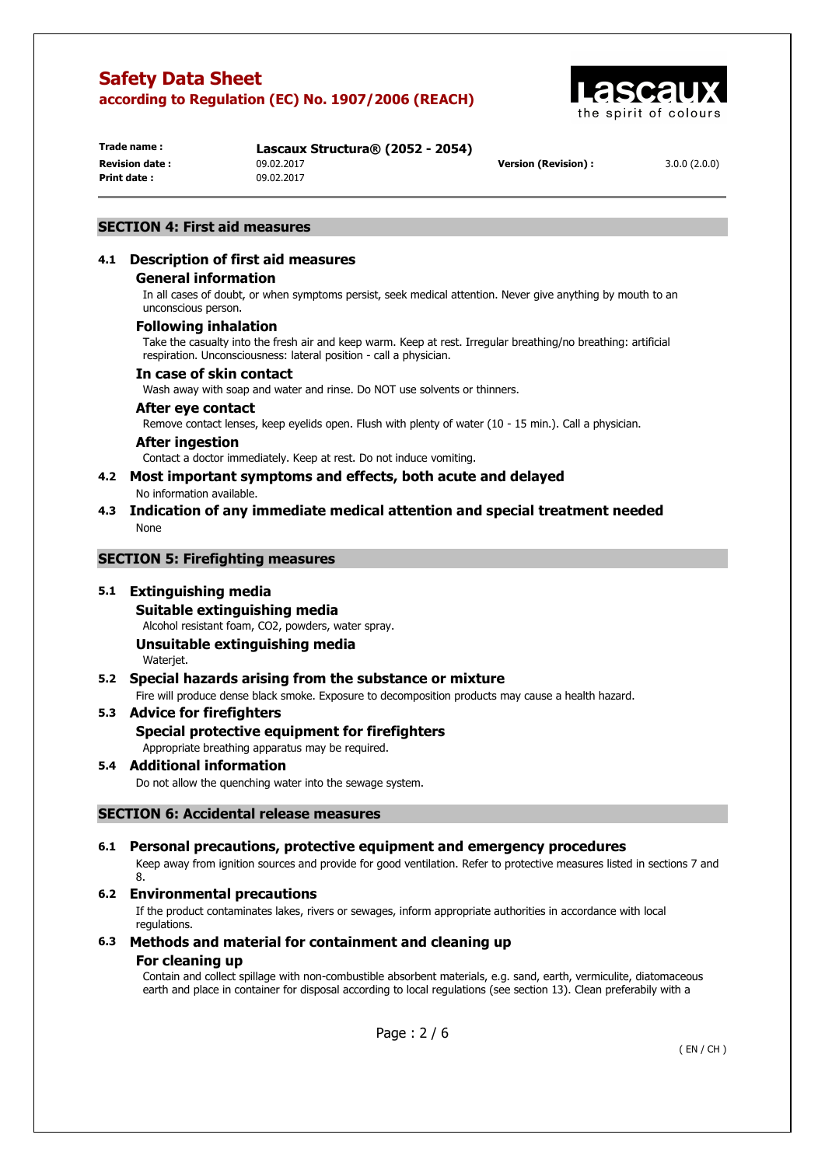

**Print date :** 09.02.2017

**Trade name : Lascaux Structura® (2052 - 2054) Revision date :** 09.02.2017 **Version (Revision) :** 3.0.0 (2.0.0)

### **SECTION 4: First aid measures**

## **4.1 Description of first aid measures**

### **General information**

In all cases of doubt, or when symptoms persist, seek medical attention. Never give anything by mouth to an unconscious person.

### **Following inhalation**

Take the casualty into the fresh air and keep warm. Keep at rest. Irregular breathing/no breathing: artificial respiration. Unconsciousness: lateral position - call a physician.

### **In case of skin contact**

Wash away with soap and water and rinse. Do NOT use solvents or thinners.

### **After eye contact**

Remove contact lenses, keep eyelids open. Flush with plenty of water (10 - 15 min.). Call a physician.

### **After ingestion**

Contact a doctor immediately. Keep at rest. Do not induce vomiting.

## **4.2 Most important symptoms and effects, both acute and delayed**

No information available.

### **4.3 Indication of any immediate medical attention and special treatment needed**  None

### **SECTION 5: Firefighting measures**

### **5.1 Extinguishing media**

**Suitable extinguishing media** 

Alcohol resistant foam, CO2, powders, water spray.

#### **Unsuitable extinguishing media**  Waterjet.

### **5.2 Special hazards arising from the substance or mixture**

Fire will produce dense black smoke. Exposure to decomposition products may cause a health hazard.

### **5.3 Advice for firefighters**

### **Special protective equipment for firefighters**

Appropriate breathing apparatus may be required.

### **5.4 Additional information**

Do not allow the quenching water into the sewage system.

### **SECTION 6: Accidental release measures**

### **6.1 Personal precautions, protective equipment and emergency procedures**

Keep away from ignition sources and provide for good ventilation. Refer to protective measures listed in sections 7 and 8.

### **6.2 Environmental precautions**

If the product contaminates lakes, rivers or sewages, inform appropriate authorities in accordance with local regulations.

### **6.3 Methods and material for containment and cleaning up For cleaning up**

Contain and collect spillage with non-combustible absorbent materials, e.g. sand, earth, vermiculite, diatomaceous earth and place in container for disposal according to local regulations (see section 13). Clean preferabily with a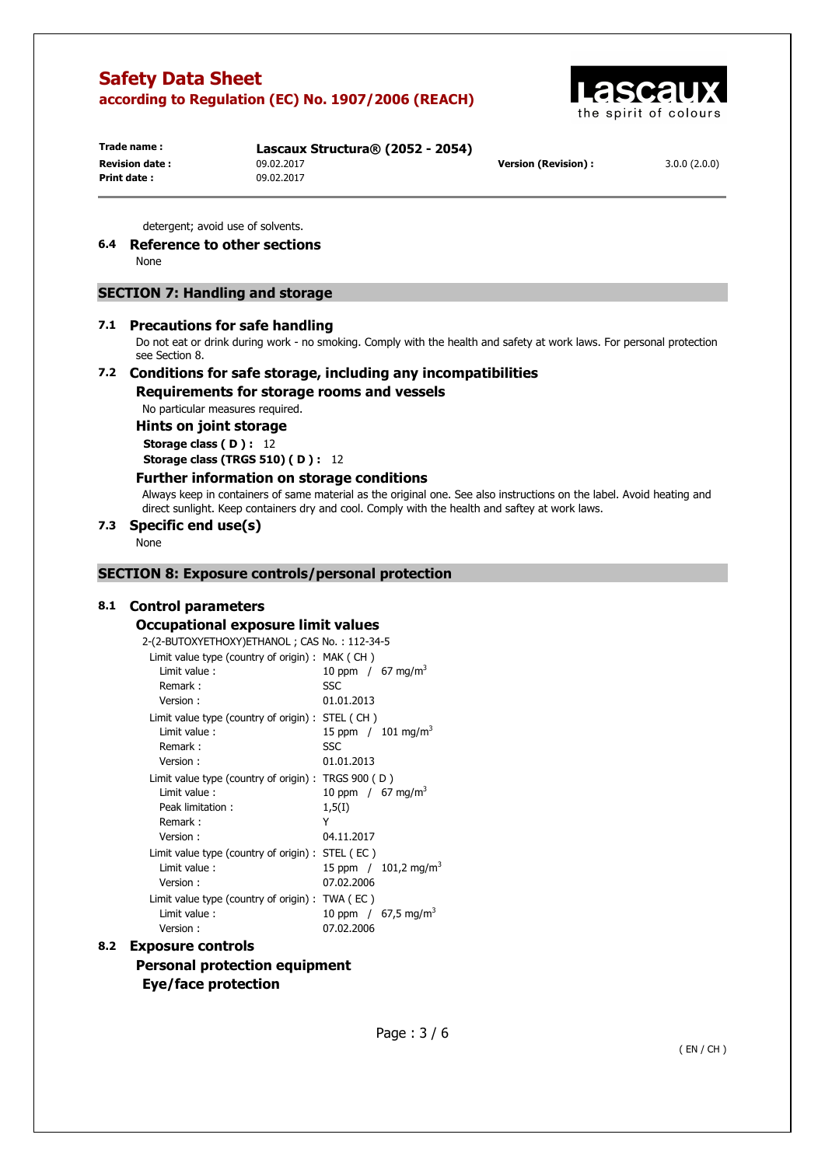

**Trade name : Lascaux Structura® (2052 - 2054) Print date :** 09.02.2017

**Revision date :** 09.02.2017 **Version (Revision) :** 3.0.0 (2.0.0)

detergent; avoid use of solvents.

## **6.4 Reference to other sections**

None

## **SECTION 7: Handling and storage**

### **7.1 Precautions for safe handling**

Do not eat or drink during work - no smoking. Comply with the health and safety at work laws. For personal protection see Section 8.

# **7.2 Conditions for safe storage, including any incompatibilities**

**Requirements for storage rooms and vessels** 

No particular measures required.

**Hints on joint storage** 

**Storage class (D): 12 Storage class (TRGS 510) ( D ) :** 12

### **Further information on storage conditions**

Always keep in containers of same material as the original one. See also instructions on the label. Avoid heating and direct sunlight. Keep containers dry and cool. Comply with the health and saftey at work laws.

### **7.3 Specific end use(s)**

None

### **SECTION 8: Exposure controls/personal protection**

### **8.1 Control parameters**

#### **Occupational exposure limit values**

| Limit value type (country of origin) : $MAK$ (CH)      |                                    |
|--------------------------------------------------------|------------------------------------|
| Limit value:                                           | 10 ppm / $67 \text{ mg/m}^3$       |
| Remark:                                                | <b>SSC</b>                         |
| Version:                                               | 01.01.2013                         |
| Limit value type (country of origin): STEL (CH)        |                                    |
| Limit value:                                           | 15 ppm / $101 \text{ mg/m}^3$      |
| Remark:                                                | SSC                                |
| Version:                                               | 01.01.2013                         |
| Limit value type (country of origin) : TRGS $900$ (D)  |                                    |
| Limit value:                                           | 10 ppm / $67 \text{ mg/m}^3$       |
| Peak limitation:                                       | 1,5(1)                             |
| Remark:                                                | Y                                  |
| Version:                                               | 04.11.2017                         |
| Limit value type (country of origin) : $STEL$ ( $EC$ ) |                                    |
| Limit value:                                           | 15 ppm $/$ 101,2 mg/m <sup>3</sup> |
| Version:                                               | 07.02.2006                         |
| Limit value type (country of origin) : $TWA$ ( $EC$ )  |                                    |
| Limit value:                                           | 10 ppm / $67,5$ mg/m <sup>3</sup>  |
| Version:                                               | 07.02.2006                         |
|                                                        |                                    |

## **8.2 Exposure controls Personal protection equipment Eye/face protection**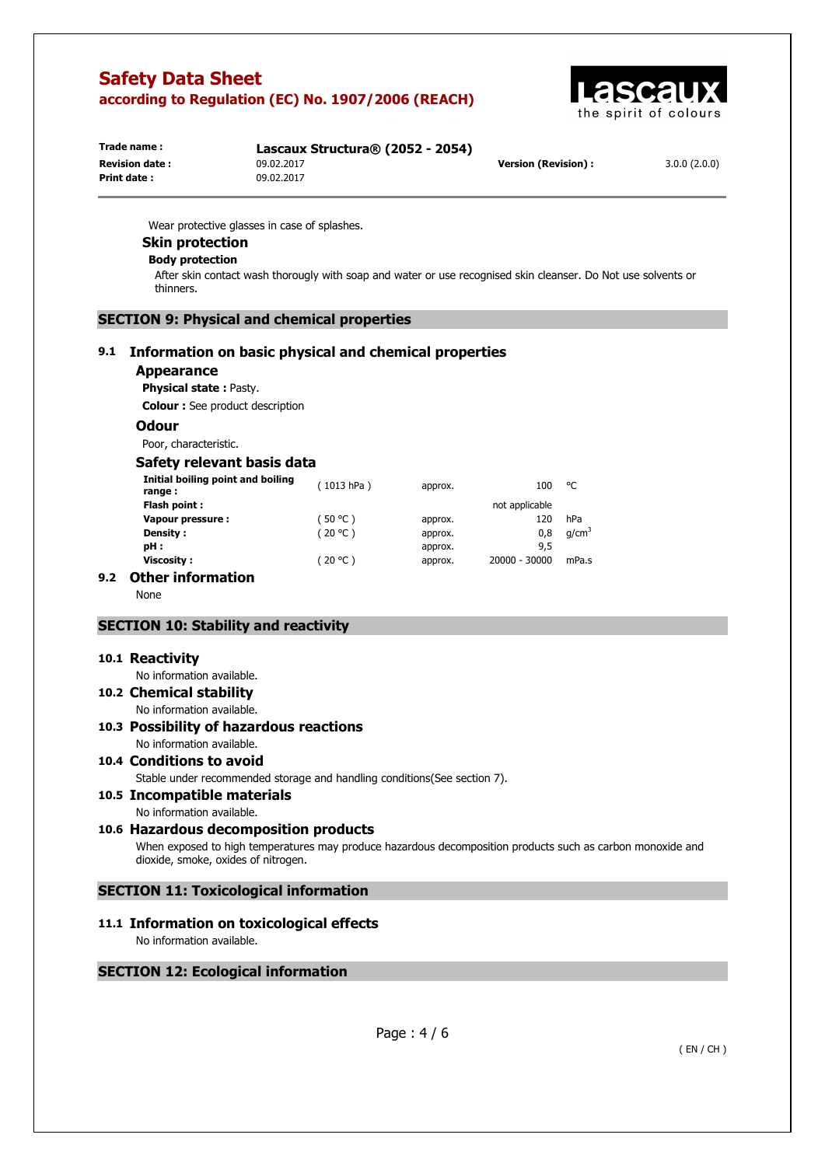

| Trade name :          | Lascaux Structura® (2052 - 2054) |                      |              |
|-----------------------|----------------------------------|----------------------|--------------|
| <b>Revision date:</b> | 09.02.2017                       | Version (Revision) : | 3.0.0(2.0.0) |
| Print date :          | 09.02.2017                       |                      |              |
|                       |                                  |                      |              |

Wear protective glasses in case of splashes.

## **Skin protection**

#### **Body protection**

After skin contact wash thorougly with soap and water or use recognised skin cleanser. Do Not use solvents or thinners.

### **SECTION 9: Physical and chemical properties**

### **9.1 Information on basic physical and chemical properties**

#### **Appearance**

**Physical state :** Pasty.

**Colour :** See product description

#### **Odour**

Poor, characteristic.

### **Safety relevant basis data**

|     | Initial boiling point and boiling<br>range: | 1013 hPa) | approx. | 100            | °C                |
|-----|---------------------------------------------|-----------|---------|----------------|-------------------|
|     | Flash point:                                |           |         | not applicable |                   |
|     | Vapour pressure :                           | (50 °C )  | approx. | 120            | hPa               |
|     | Density :                                   | (20 °C )  | approx. | 0,8            | q/cm <sup>3</sup> |
|     | pH:                                         |           | approx. | 9,5            |                   |
|     | <b>Viscosity:</b>                           | (20 °C )  | approx. | 20000 - 30000  | mPa.s             |
| 9.2 | <b>Other information</b>                    |           |         |                |                   |

None

### **SECTION 10: Stability and reactivity**

#### **10.1 Reactivity**

No information available.

**10.2 Chemical stability**  No information available.

#### **10.3 Possibility of hazardous reactions**  No information available.

# **10.4 Conditions to avoid**

Stable under recommended storage and handling conditions(See section 7).

**10.5 Incompatible materials** 

No information available.

# **10.6 Hazardous decomposition products**

When exposed to high temperatures may produce hazardous decomposition products such as carbon monoxide and dioxide, smoke, oxides of nitrogen.

### **SECTION 11: Toxicological information**

## **11.1 Information on toxicological effects**

No information available.

### **SECTION 12: Ecological information**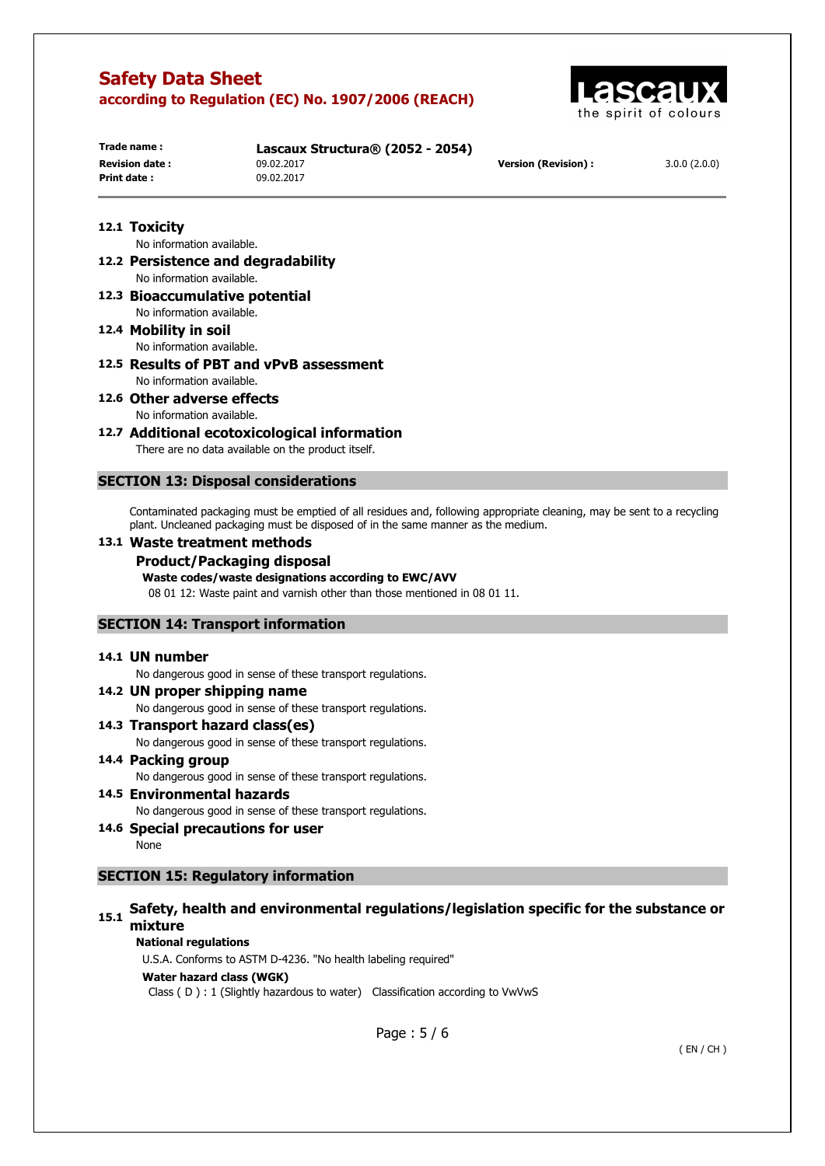

| Trade name :           | Lascaux Structura® (2052 - 2054) |                      |              |
|------------------------|----------------------------------|----------------------|--------------|
| <b>Revision date :</b> | 09.02.2017                       | Version (Revision) : | 3.0.0(2.0.0) |
| Print date :           | 09.02.2017                       |                      |              |

## **12.1 Toxicity**

No information available.

- **12.2 Persistence and degradability**  No information available.
- **12.3 Bioaccumulative potential**  No information available.
- **12.4 Mobility in soil**  No information available.
- **12.5 Results of PBT and vPvB assessment**  No information available.
- **12.6 Other adverse effects**  No information available.
- **12.7 Additional ecotoxicological information**

There are no data available on the product itself.

### **SECTION 13: Disposal considerations**

Contaminated packaging must be emptied of all residues and, following appropriate cleaning, may be sent to a recycling plant. Uncleaned packaging must be disposed of in the same manner as the medium.

### **13.1 Waste treatment methods**

**Product/Packaging disposal** 

### **Waste codes/waste designations according to EWC/AVV**

08 01 12: Waste paint and varnish other than those mentioned in 08 01 11.

### **SECTION 14: Transport information**

#### **14.1 UN number**

No dangerous good in sense of these transport regulations.

- **14.2 UN proper shipping name**  No dangerous good in sense of these transport regulations.
- **14.3 Transport hazard class(es)**

No dangerous good in sense of these transport regulations.

#### **14.4 Packing group**

No dangerous good in sense of these transport regulations.

### **14.5 Environmental hazards**

No dangerous good in sense of these transport regulations.

**14.6 Special precautions for user** 

None

## **SECTION 15: Regulatory information**

# **15.1 Safety, health and environmental regulations/legislation specific for the substance or mixture**

#### **National regulations**

U.S.A. Conforms to ASTM D-4236. "No health labeling required"

#### **Water hazard class (WGK)**

Class ( D ) : 1 (Slightly hazardous to water) Classification according to VwVwS

Page : 5 / 6